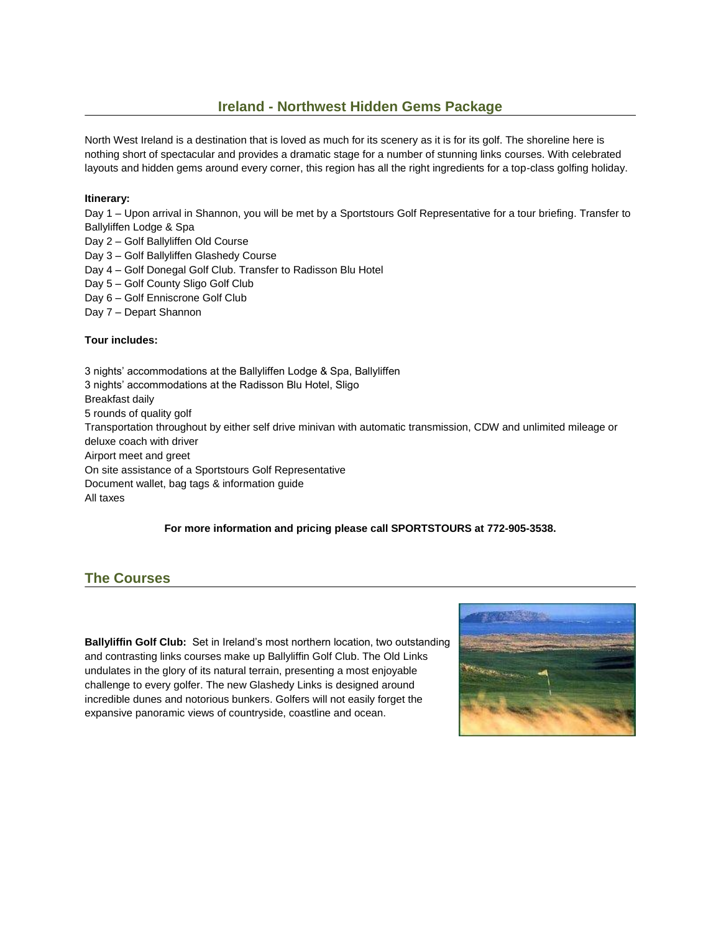### **Ireland - Northwest Hidden Gems Package**

North West Ireland is a destination that is loved as much for its scenery as it is for its golf. The shoreline here is nothing short of spectacular and provides a dramatic stage for a number of stunning links courses. With celebrated layouts and hidden gems around every corner, this region has all the right ingredients for a top-class golfing holiday.

#### **Itinerary:**

Day 1 – Upon arrival in Shannon, you will be met by a Sportstours Golf Representative for a tour briefing. Transfer to Ballyliffen Lodge & Spa

- Day 2 Golf Ballyliffen Old Course
- Day 3 Golf Ballyliffen Glashedy Course
- Day 4 Golf Donegal Golf Club. Transfer to Radisson Blu Hotel
- Day 5 Golf County Sligo Golf Club
- Day 6 Golf Enniscrone Golf Club
- Day 7 Depart Shannon

### **Tour includes:**

 3 nights' accommodations at the Ballyliffen Lodge & Spa, Ballyliffen 3 nights' accommodations at the Radisson Blu Hotel, Sligo Breakfast daily 5 rounds of quality golf Transportation throughout by either self drive minivan with automatic transmission, CDW and unlimited mileage or deluxe coach with driver Airport meet and greet On site assistance of a Sportstours Golf Representative Document wallet, bag tags & information guide All taxes

#### **For more information and pricing please call SPORTSTOURS at 772-905-3538.**

# **The Courses**

**Ballyliffin Golf Club:** Set in Ireland's most northern location, two outstanding and contrasting links courses make up Ballyliffin Golf Club. The Old Links undulates in the glory of its natural terrain, presenting a most enjoyable challenge to every golfer. The new Glashedy Links is designed around incredible dunes and notorious bunkers. Golfers will not easily forget the expansive panoramic views of countryside, coastline and ocean.